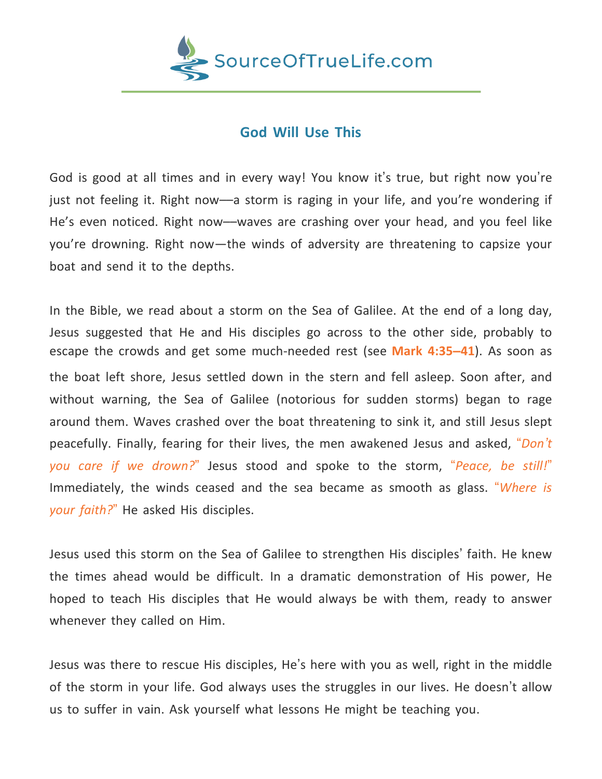

## **God Will Use This**

God is good at all times and in every way! You know it's true, but right now you're just not feeling it. Right now––a storm is raging in your life, and you're wondering if He's even noticed. Right now––waves are crashing over your head, and you feel like you're drowning. Right now—the winds of adversity are threatening to capsize your boat and send it to the depths.

In the Bible, we read about a storm on the Sea of Galilee. At the end of a long day, Jesus suggested that He and His disciples go across to the other side, probably to escape the crowds and get some much-needed rest (see **[Mark](https://www.biblegateway.com/passage/?search=mark+4%3A35-41&version=NIV) 4:35–41**). As soon as the boat left shore, Jesus settled down in the stern and fell asleep. Soon after, and without warning, the Sea of Galilee (notorious for sudden storms) began to rage around them. Waves crashed over the boat threatening to sink it, and still Jesus slept peacefully. Finally, fearing for their lives, the men awakened Jesus and asked, "*Don't you care if we drown?*" Jesus stood and spoke to the storm, "*Peace, be still!*" Immediately, the winds ceased and the sea became as smooth as glass. "*Where is your faith?*" He asked His disciples.

Jesus used this storm on the Sea of Galilee to strengthen His disciples' faith. He knew the times ahead would be difficult. In a dramatic demonstration of His power, He hoped to teach His disciples that He would always be with them, ready to answer whenever they called on Him.

Jesus was there to rescue His disciples, He's here with you as well, right in the middle of the storm in your life. God always uses the struggles in our lives. He doesn't allow us to suffer in vain. Ask yourself what lessons He might be teaching you.